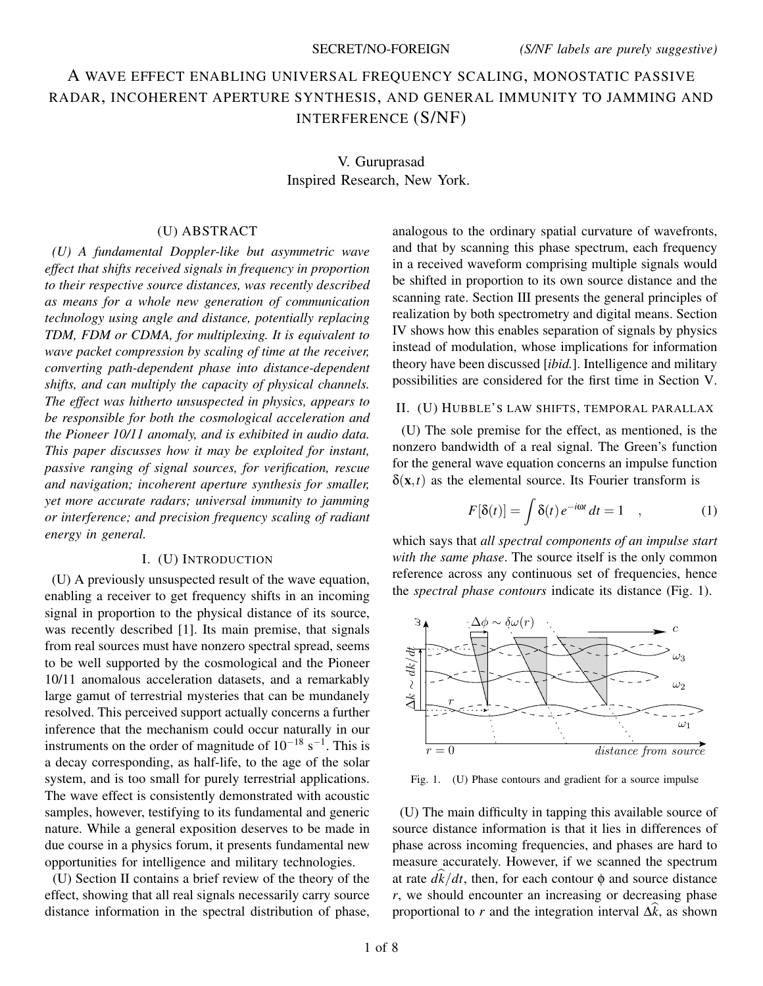# A WAVE EFFECT ENABLING UNIVERSAL FREQUENCY SCALING, MONOSTATIC PASSIVE RADAR, INCOHERENT APERTURE SYNTHESIS, AND GENERAL IMMUNITY TO JAMMING AND INTERFERENCE (S/NF)

V. Guruprasad Inspired Research, New York.

### (U) ABSTRACT

*(U) A fundamental Doppler-like but asymmetric wave effect that shifts received signals in frequency in proportion to their respective source distances, was recently described as means for a whole new generation of communication technology using angle and distance, potentially replacing TDM, FDM or CDMA, for multiplexing. It is equivalent to wave packet compression by scaling of time at the receiver, converting path-dependent phase into distance-dependent shifts, and can multiply the capacity of physical channels. The effect was hitherto unsuspected in physics, appears to be responsible for both the cosmological acceleration and the Pioneer 10/11 anomaly, and is exhibited in audio data. This paper discusses how it may be exploited for instant, passive ranging of signal sources, for verification, rescue and navigation; incoherent aperture synthesis for smaller, yet more accurate radars; universal immunity to jamming or interference; and precision frequency scaling of radiant energy in general.*

#### I. (U) INTRODUCTION

(U) A previously unsuspected result of the wave equation, enabling a receiver to get frequency shifts in an incoming signal in proportion to the physical distance of its source, was recently described [1]. Its main premise, that signals from real sources must have nonzero spectral spread, seems to be well supported by the cosmological and the Pioneer 10/11 anomalous acceleration datasets, and a remarkably large gamut of terrestrial mysteries that can be mundanely resolved. This perceived support actually concerns a further inference that the mechanism could occur naturally in our instruments on the order of magnitude of  $10^{-18}$  s<sup>-1</sup>. This is a decay corresponding, as half-life, to the age of the solar system, and is too small for purely terrestrial applications. The wave effect is consistently demonstrated with acoustic samples, however, testifying to its fundamental and generic nature. While a general exposition deserves to be made in due course in a physics forum, it presents fundamental new opportunities for intelligence and military technologies.

(U) Section II contains a brief review of the theory of the effect, showing that all real signals necessarily carry source distance information in the spectral distribution of phase, analogous to the ordinary spatial curvature of wavefronts, and that by scanning this phase spectrum, each frequency in a received waveform comprising multiple signals would be shifted in proportion to its own source distance and the scanning rate. Section III presents the general principles of realization by both spectrometry and digital means. Section IV shows how this enables separation of signals by physics instead of modulation, whose implications for information theory have been discussed [*ibid.*]. Intelligence and military possibilities are considered for the first time in Section V.

### II. (U) HUBBLE'S LAW SHIFTS, TEMPORAL PARALLAX

(U) The sole premise for the effect, as mentioned, is the nonzero bandwidth of a real signal. The Green's function for the general wave equation concerns an impulse function  $\delta(\mathbf{x},t)$  as the elemental source. Its Fourier transform is

$$
F[\delta(t)] = \int \delta(t) e^{-i\omega t} dt = 1 \quad , \tag{1}
$$

which says that *all spectral components of an impulse start with the same phase*. The source itself is the only common reference across any continuous set of frequencies, hence the *spectral phase contours* indicate its distance (Fig. 1).



Fig. 1. (U) Phase contours and gradient for a source impulse

(U) The main difficulty in tapping this available source of source distance information is that it lies in differences of phase across incoming frequencies, and phases are hard to measure accurately. However, if we scanned the spectrum at rate  $d\hat{k}/dt$ , then, for each contour  $\phi$  and source distance *r*, we should encounter an increasing or decreasing phase proportional to *r* and the integration interval  $\Delta \hat{k}$ , as shown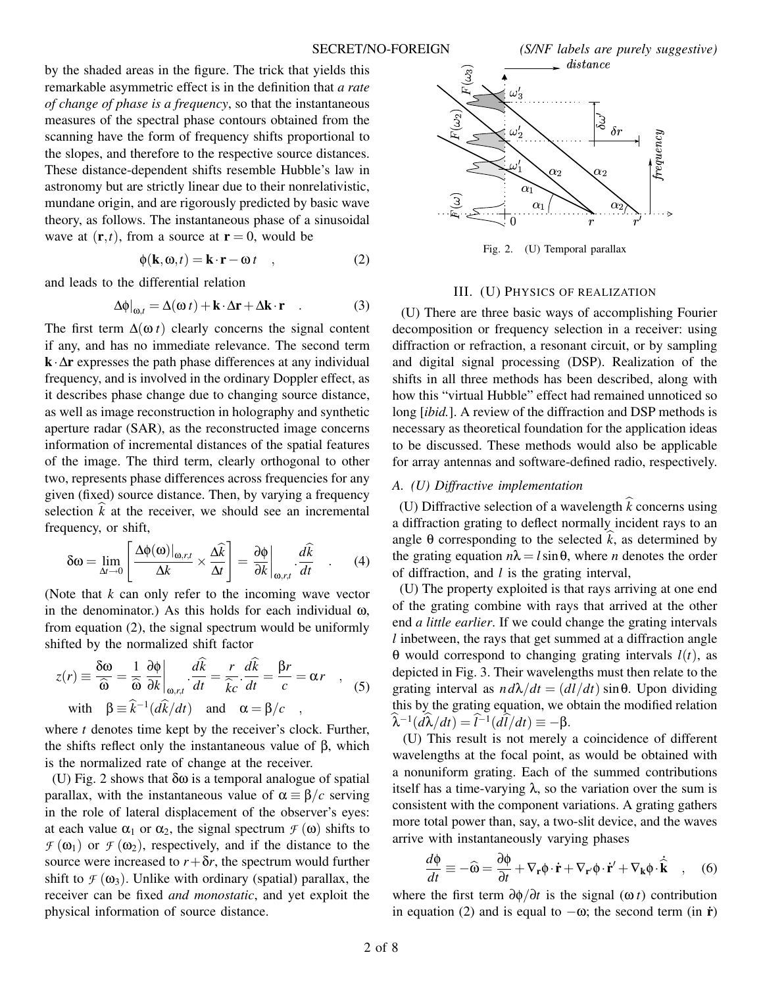SECRET/NO-FOREIGN *(S/NF labels are purely suggestive)*

by the shaded areas in the figure. The trick that yields this remarkable asymmetric effect is in the definition that *a rate of change of phase is a frequency*, so that the instantaneous measures of the spectral phase contours obtained from the scanning have the form of frequency shifts proportional to the slopes, and therefore to the respective source distances. These distance-dependent shifts resemble Hubble's law in astronomy but are strictly linear due to their nonrelativistic, mundane origin, and are rigorously predicted by basic wave theory, as follows. The instantaneous phase of a sinusoidal wave at  $(\mathbf{r},t)$ , from a source at  $\mathbf{r}=0$ , would be

$$
\phi(\mathbf{k}, \omega, t) = \mathbf{k} \cdot \mathbf{r} - \omega t \quad , \tag{2}
$$

and leads to the differential relation

$$
\Delta \phi|_{\omega, t} = \Delta(\omega t) + \mathbf{k} \cdot \Delta \mathbf{r} + \Delta \mathbf{k} \cdot \mathbf{r} \quad . \tag{3}
$$

The first term  $\Delta(\omega t)$  clearly concerns the signal content if any, and has no immediate relevance. The second term **k**·∆**r** expresses the path phase differences at any individual frequency, and is involved in the ordinary Doppler effect, as it describes phase change due to changing source distance, as well as image reconstruction in holography and synthetic aperture radar (SAR), as the reconstructed image concerns information of incremental distances of the spatial features of the image. The third term, clearly orthogonal to other two, represents phase differences across frequencies for any given (fixed) source distance. Then, by varying a frequency selection  $\hat{k}$  at the receiver, we should see an incremental frequency, or shift,

$$
\delta \omega = \lim_{\Delta t \to 0} \left[ \frac{\Delta \phi(\omega)|_{\omega, r, t}}{\Delta k} \times \frac{\Delta \widehat{k}}{\Delta t} \right] = \frac{\partial \phi}{\partial k} \bigg|_{\omega, r, t} \cdot \frac{d\widehat{k}}{dt} \quad . \tag{4}
$$

(Note that *k* can only refer to the incoming wave vector in the denominator.) As this holds for each individual  $\omega$ , from equation (2), the signal spectrum would be uniformly shifted by the normalized shift factor

$$
z(r) \equiv \frac{\delta \omega}{\hat{\omega}} = \frac{1}{\hat{\omega}} \frac{\partial \phi}{\partial k} \bigg|_{\omega, r, t} \cdot \frac{d\hat{k}}{dt} = \frac{r}{\hat{k}c} \cdot \frac{d\hat{k}}{dt} = \frac{\beta r}{c} = \alpha r \quad , \quad (5)
$$
  
with  $\beta \equiv \hat{k}^{-1} (d\hat{k}/dt)$  and  $\alpha = \beta/c$ 

where *t* denotes time kept by the receiver's clock. Further, the shifts reflect only the instantaneous value of β, which is the normalized rate of change at the receiver.

(U) Fig. 2 shows that  $\delta\omega$  is a temporal analogue of spatial parallax, with the instantaneous value of α ≡ β/*c* serving in the role of lateral displacement of the observer's eyes: at each value  $\alpha_1$  or  $\alpha_2$ , the signal spectrum  $\mathcal{F}(\omega)$  shifts to  $\mathcal{F}(\omega_1)$  or  $\mathcal{F}(\omega_2)$ , respectively, and if the distance to the source were increased to  $r + \delta r$ , the spectrum would further shift to  $\mathcal{F}(\omega_3)$ . Unlike with ordinary (spatial) parallax, the receiver can be fixed *and monostatic*, and yet exploit the physical information of source distance.



Fig. 2. (U) Temporal parallax

### III. (U) PHYSICS OF REALIZATION

(U) There are three basic ways of accomplishing Fourier decomposition or frequency selection in a receiver: using diffraction or refraction, a resonant circuit, or by sampling and digital signal processing (DSP). Realization of the shifts in all three methods has been described, along with how this "virtual Hubble" effect had remained unnoticed so long *[ibid.]*. A review of the diffraction and DSP methods is necessary as theoretical foundation for the application ideas to be discussed. These methods would also be applicable for array antennas and software-defined radio, respectively.

### *A. (U) Diffractive implementation*

(U) Diffractive selection of a wavelength  $\hat{k}$  concerns using a diffraction grating to deflect normally incident rays to an angle  $\theta$  corresponding to the selected  $\hat{k}$ , as determined by the grating equation  $n\lambda = l \sin \theta$ , where *n* denotes the order of diffraction, and *l* is the grating interval,

(U) The property exploited is that rays arriving at one end of the grating combine with rays that arrived at the other end *a little earlier*. If we could change the grating intervals *l* inbetween, the rays that get summed at a diffraction angle θ would correspond to changing grating intervals *l*(*t*), as depicted in Fig. 3. Their wavelengths must then relate to the grating interval as  $n d\lambda/dt = (dl/dt) \sin \theta$ . Upon dividing this by the grating equation, we obtain the modified relation  $\hat{\lambda}^{-1}(d\hat{\lambda}/dt) = \hat{l}^{-1}(d\hat{l}/dt) \equiv -\beta.$ 

(U) This result is not merely a coincidence of different wavelengths at the focal point, as would be obtained with a nonuniform grating. Each of the summed contributions itself has a time-varying  $\lambda$ , so the variation over the sum is consistent with the component variations. A grating gathers more total power than, say, a two-slit device, and the waves arrive with instantaneously varying phases

$$
\frac{d\Phi}{dt} \equiv -\widehat{\mathbf{\omega}} = \frac{\partial\Phi}{\partial t} + \nabla_{\mathbf{r}}\Phi \cdot \dot{\mathbf{r}} + \nabla_{\mathbf{r}'}\Phi \cdot \dot{\mathbf{r}}' + \nabla_{\mathbf{k}}\Phi \cdot \dot{\hat{\mathbf{k}}} \quad , \quad (6)
$$

where the first term  $\frac{\partial \phi}{\partial t}$  is the signal ( $\omega t$ ) contribution in equation (2) and is equal to  $-\omega$ ; the second term (in **r**<sup>*i*</sup>)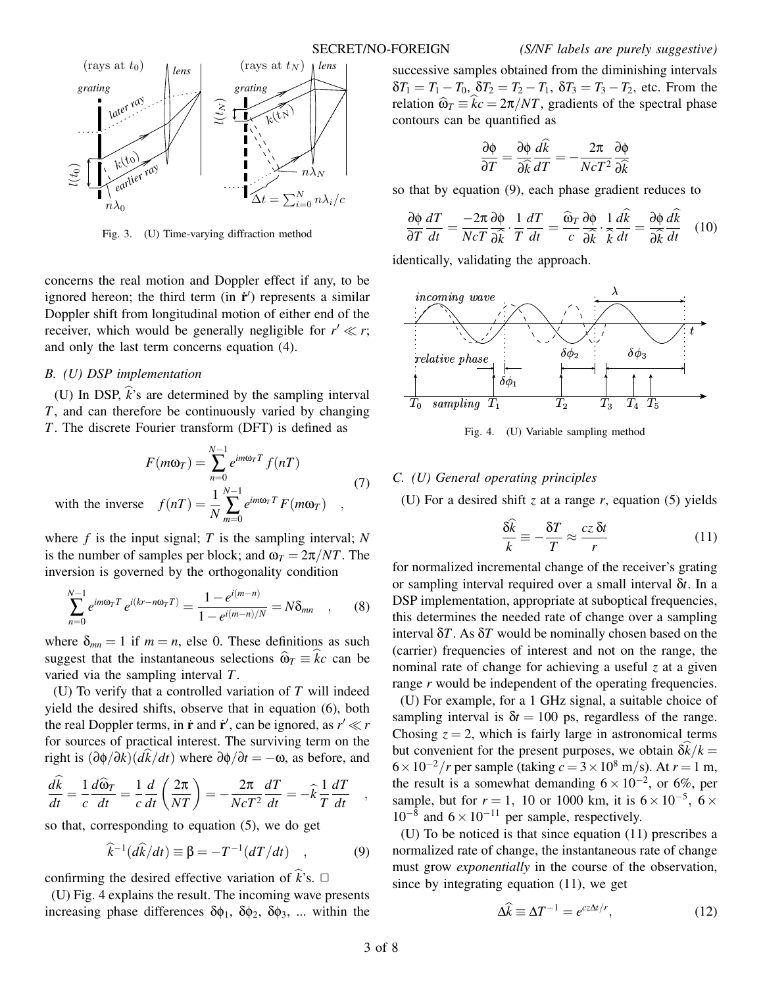

Fig. 3. (U) Time-varying diffraction method

concerns the real motion and Doppler effect if any, to be ignored hereon; the third term (in  $\dot{\mathbf{r}}'$ ) represents a similar Doppler shift from longitudinal motion of either end of the receiver, which would be generally negligible for  $r' \ll r$ ; and only the last term concerns equation (4).

### *B. (U) DSP implementation*

(U) In DSP,  $\hat{k}$ 's are determined by the sampling interval *T*, and can therefore be continuously varied by changing *T*. The discrete Fourier transform (DFT) is defined as

$$
F(m\omega_T) = \sum_{n=0}^{N-1} e^{im\omega_T T} f(nT)
$$
  
with the inverse  $f(nT) = \frac{1}{N} \sum_{m=0}^{N-1} e^{im\omega_T T} F(m\omega_T)$  (7)

where *f* is the input signal; *T* is the sampling interval; *N* is the number of samples per block; and  $\omega_T = 2\pi / NT$ . The inversion is governed by the orthogonality condition

$$
\sum_{n=0}^{N-1} e^{im\omega_T T} e^{i(kr - n\omega_T T)} = \frac{1 - e^{i(m-n)}}{1 - e^{i(m-n)/N}} = N\delta_{mn} \quad , \quad (8)
$$

where  $\delta_{mn} = 1$  if  $m = n$ , else 0. These definitions as such suggest that the instantaneous selections  $\hat{\omega}_T = \hat{k}c$  can be varied via the sampling interval *T*.

(U) To verify that a controlled variation of *T* will indeed yield the desired shifts, observe that in equation (6), both the real Doppler terms, in  $\dot{\mathbf{r}}$  and  $\dot{\mathbf{r}}'$ , can be ignored, as  $r' \ll r$ for sources of practical interest. The surviving term on the right is  $(\partial \phi / \partial k)(dk/dt)$  where  $\partial \phi / \partial t = -\omega$ , as before, and

$$
\frac{d\hat{k}}{dt} = \frac{1}{c}\frac{d\hat{\omega}_T}{dt} = \frac{1}{c}\frac{d}{dt}\left(\frac{2\pi}{NT}\right) = -\frac{2\pi}{NcT^2}\frac{dT}{dt} = -\hat{k}\frac{1}{T}\frac{dT}{dt} ,
$$

so that, corresponding to equation (5), we do get

$$
\widehat{k}^{-1}(d\widehat{k}/dt) \equiv \beta = -T^{-1}(dT/dt) \quad , \tag{9}
$$

confirming the desired effective variation of  $\hat{k}$ 's.  $\Box$ 

(U) Fig. 4 explains the result. The incoming wave presents increasing phase differences  $\delta\phi_1$ ,  $\delta\phi_2$ ,  $\delta\phi_3$ , ... within the successive samples obtained from the diminishing intervals  $\delta T_1 = T_1 - T_0$ ,  $\delta T_2 = T_2 - T_1$ ,  $\delta T_3 = T_3 - T_2$ , etc. From the relation  $\hat{\omega}_T \equiv \hat{k}c = 2\pi/NT$ , gradients of the spectral phase contours can be quantified as

$$
\frac{\partial \phi}{\partial T} = \frac{\partial \phi}{\partial \hat{k}} \frac{d\hat{k}}{dT} = -\frac{2\pi}{NcT^2} \frac{\partial \phi}{\partial \hat{k}}
$$

so that by equation (9), each phase gradient reduces to

$$
\frac{\partial \phi}{\partial T} \frac{dT}{dt} = \frac{-2\pi}{Nc} \frac{\partial \phi}{\partial \hat{k}} \cdot \frac{1}{T} \frac{dT}{dt} = \frac{\widehat{\omega}_T}{c} \frac{\partial \phi}{\partial \hat{k}} \cdot \frac{1}{\widehat{k}} \frac{d\widehat{k}}{dt} = \frac{\partial \phi}{\partial \widehat{k}} \frac{d\widehat{k}}{dt} \quad (10)
$$

identically, validating the approach.



Fig. 4. (U) Variable sampling method

### *C. (U) General operating principles*

(U) For a desired shift *z* at a range *r*, equation (5) yields

$$
\frac{\delta \hat{k}}{k} \equiv -\frac{\delta T}{T} \approx \frac{cz \,\delta t}{r} \tag{11}
$$

for normalized incremental change of the receiver's grating or sampling interval required over a small interval δ*t*. In a DSP implementation, appropriate at suboptical frequencies, this determines the needed rate of change over a sampling interval δ*T*. As δ*T* would be nominally chosen based on the (carrier) frequencies of interest and not on the range, the nominal rate of change for achieving a useful *z* at a given range *r* would be independent of the operating frequencies.

(U) For example, for a 1 GHz signal, a suitable choice of sampling interval is  $\delta t = 100$  ps, regardless of the range. Chosing  $z = 2$ , which is fairly large in astronomical terms but convenient for the present purposes, we obtain  $\delta k/k =$  $6 \times 10^{-2}/r$  per sample (taking  $c = 3 \times 10^8$  m/s). At  $r = 1$  m, the result is a somewhat demanding  $6 \times 10^{-2}$ , or 6%, per sample, but for  $r = 1$ , 10 or 1000 km, it is  $6 \times 10^{-5}$ ,  $6 \times$  $10^{-8}$  and  $6 \times 10^{-11}$  per sample, respectively.

(U) To be noticed is that since equation (11) prescribes a normalized rate of change, the instantaneous rate of change must grow *exponentially* in the course of the observation, since by integrating equation (11), we get

$$
\Delta \widehat{k} \equiv \Delta T^{-1} = e^{cz\Delta t/r},\qquad(12)
$$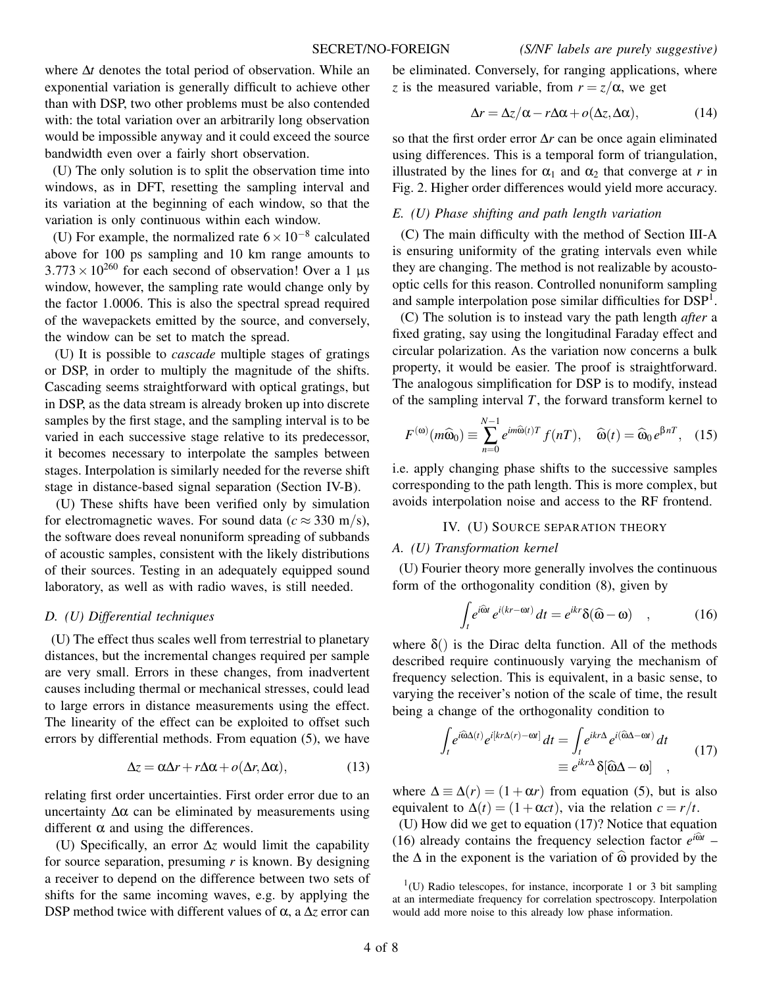where ∆*t* denotes the total period of observation. While an exponential variation is generally difficult to achieve other than with DSP, two other problems must be also contended with: the total variation over an arbitrarily long observation would be impossible anyway and it could exceed the source bandwidth even over a fairly short observation.

(U) The only solution is to split the observation time into windows, as in DFT, resetting the sampling interval and its variation at the beginning of each window, so that the variation is only continuous within each window.

(U) For example, the normalized rate  $6 \times 10^{-8}$  calculated above for 100 ps sampling and 10 km range amounts to  $3.773 \times 10^{260}$  for each second of observation! Over a 1 µs window, however, the sampling rate would change only by the factor 1.0006. This is also the spectral spread required of the wavepackets emitted by the source, and conversely, the window can be set to match the spread.

(U) It is possible to *cascade* multiple stages of gratings or DSP, in order to multiply the magnitude of the shifts. Cascading seems straightforward with optical gratings, but in DSP, as the data stream is already broken up into discrete samples by the first stage, and the sampling interval is to be varied in each successive stage relative to its predecessor, it becomes necessary to interpolate the samples between stages. Interpolation is similarly needed for the reverse shift stage in distance-based signal separation (Section IV-B).

(U) These shifts have been verified only by simulation for electromagnetic waves. For sound data ( $c \approx 330$  m/s), the software does reveal nonuniform spreading of subbands of acoustic samples, consistent with the likely distributions of their sources. Testing in an adequately equipped sound laboratory, as well as with radio waves, is still needed.

### *D. (U) Differential techniques*

(U) The effect thus scales well from terrestrial to planetary distances, but the incremental changes required per sample are very small. Errors in these changes, from inadvertent causes including thermal or mechanical stresses, could lead to large errors in distance measurements using the effect. The linearity of the effect can be exploited to offset such errors by differential methods. From equation (5), we have

$$
\Delta z = \alpha \Delta r + r \Delta \alpha + o(\Delta r, \Delta \alpha), \qquad (13)
$$

relating first order uncertainties. First order error due to an uncertainty  $Δα$  can be eliminated by measurements using different  $\alpha$  and using the differences.

(U) Specifically, an error ∆*z* would limit the capability for source separation, presuming *r* is known. By designing a receiver to depend on the difference between two sets of shifts for the same incoming waves, e.g. by applying the DSP method twice with different values of α, a ∆*z* error can be eliminated. Conversely, for ranging applications, where *z* is the measured variable, from  $r = z/\alpha$ , we get

$$
\Delta r = \Delta z / \alpha - r \Delta \alpha + o(\Delta z, \Delta \alpha), \qquad (14)
$$

so that the first order error ∆*r* can be once again eliminated using differences. This is a temporal form of triangulation, illustrated by the lines for  $\alpha_1$  and  $\alpha_2$  that converge at *r* in Fig. 2. Higher order differences would yield more accuracy.

### *E. (U) Phase shifting and path length variation*

(C) The main difficulty with the method of Section III-A is ensuring uniformity of the grating intervals even while they are changing. The method is not realizable by acoustooptic cells for this reason. Controlled nonuniform sampling and sample interpolation pose similar difficulties for  $\text{DSP}^1$ .

(C) The solution is to instead vary the path length *after* a fixed grating, say using the longitudinal Faraday effect and circular polarization. As the variation now concerns a bulk property, it would be easier. The proof is straightforward. The analogous simplification for DSP is to modify, instead of the sampling interval *T*, the forward transform kernel to

$$
F^{(\omega)}(m\widehat{\omega}_0) \equiv \sum_{n=0}^{N-1} e^{im\widehat{\omega}(t)T} f(nT), \quad \widehat{\omega}(t) = \widehat{\omega}_0 e^{\beta nT}, \quad (15)
$$

i.e. apply changing phase shifts to the successive samples corresponding to the path length. This is more complex, but avoids interpolation noise and access to the RF frontend.

## IV. (U) SOURCE SEPARATION THEORY

#### *A. (U) Transformation kernel*

(U) Fourier theory more generally involves the continuous form of the orthogonality condition (8), given by

$$
\int_{t} e^{i\widehat{\omega}t} e^{i(kr - \omega t)} dt = e^{ikr} \delta(\widehat{\omega} - \omega) , \qquad (16)
$$

where  $\delta$ () is the Dirac delta function. All of the methods described require continuously varying the mechanism of frequency selection. This is equivalent, in a basic sense, to varying the receiver's notion of the scale of time, the result being a change of the orthogonality condition to

$$
\int_{t} e^{i\widehat{\omega}\Delta(t)} e^{i[kr\Delta(r) - \omega t]} dt = \int_{t} e^{ikr\Delta} e^{i(\widehat{\omega}\Delta - \omega t)} dt
$$
\n
$$
\equiv e^{ikr\Delta} \delta[\widehat{\omega}\Delta - \omega] \quad ,
$$
\n(17)

where  $\Delta \equiv \Delta(r) = (1 + \alpha r)$  from equation (5), but is also equivalent to  $\Delta(t) = (1 + \alpha ct)$ , via the relation  $c = r/t$ .

(U) How did we get to equation (17)? Notice that equation (16) already contains the frequency selection factor  $e^{i\hat{\omega}t}$  – the  $\Delta$  in the exponent is the variation of  $\hat{\omega}$  provided by the

<sup>1</sup> (U) Radio telescopes, for instance, incorporate 1 or 3 bit sampling at an intermediate frequency for correlation spectroscopy. Interpolation would add more noise to this already low phase information.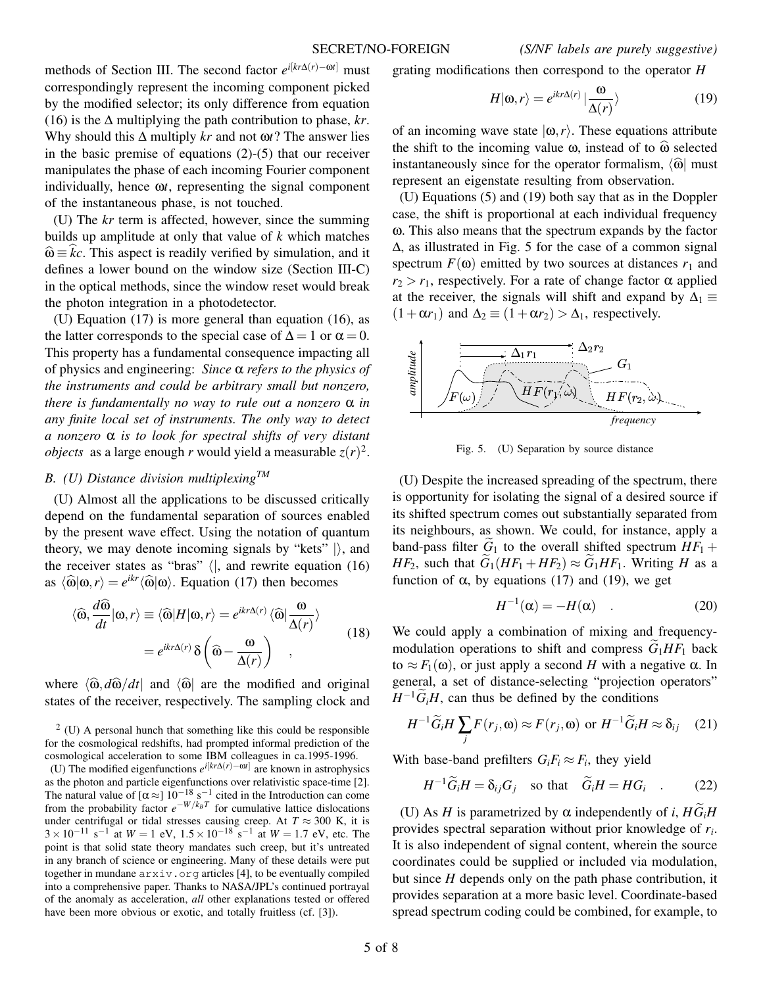methods of Section III. The second factor *e <sup>i</sup>*[*kr*∆(*r*)−ω*t*] must correspondingly represent the incoming component picked by the modified selector; its only difference from equation (16) is the ∆ multiplying the path contribution to phase, *kr*. Why should this ∆ multiply *kr* and not ω*t*? The answer lies in the basic premise of equations (2)-(5) that our receiver manipulates the phase of each incoming Fourier component individually, hence ω*t*, representing the signal component of the instantaneous phase, is not touched.

(U) The *kr* term is affected, however, since the summing builds up amplitude at only that value of *k* which matches  $\hat{\omega} \equiv kc$ . This aspect is readily verified by simulation, and it defines a lower bound on the window size (Section III-C) in the optical methods, since the window reset would break the photon integration in a photodetector.

(U) Equation (17) is more general than equation (16), as the latter corresponds to the special case of  $\Delta = 1$  or  $\alpha = 0$ . This property has a fundamental consequence impacting all of physics and engineering: *Since* α *refers to the physics of the instruments and could be arbitrary small but nonzero, there is fundamentally no way to rule out a nonzero* α *in any finite local set of instruments. The only way to detect a nonzero* α *is to look for spectral shifts of very distant objects* as a large enough *r* would yield a measurable  $z(r)^2$ .

### *B. (U) Distance division multiplexingTM*

(U) Almost all the applications to be discussed critically depend on the fundamental separation of sources enabled by the present wave effect. Using the notation of quantum theory, we may denote incoming signals by "kets"  $\vert$ , and the receiver states as "bras"  $\langle \vert$ , and rewrite equation (16) as  $\langle \hat{\omega} | \omega, r \rangle = e^{ikr} \langle \hat{\omega} | \omega \rangle$ . Equation (17) then becomes

$$
\langle \widehat{\omega}, \frac{d\widehat{\omega}}{dt} | \omega, r \rangle \equiv \langle \widehat{\omega} | H | \omega, r \rangle = e^{ikr\Delta(r)} \langle \widehat{\omega} | \frac{\omega}{\Delta(r)} \rangle
$$

$$
= e^{ikr\Delta(r)} \delta \left( \widehat{\omega} - \frac{\omega}{\Delta(r)} \right) , \qquad (18)
$$

where  $\langle \hat{\omega}, d\hat{\omega}/dt|$  and  $\langle \hat{\omega} |$  are the modified and original states of the receiver, respectively. The sampling clock and grating modifications then correspond to the operator *H*

$$
H|\omega,r\rangle = e^{ikr\Delta(r)} \left|\frac{\omega}{\Delta(r)}\right\rangle
$$
 (19)

of an incoming wave state  $|\omega, r\rangle$ . These equations attribute the shift to the incoming value  $\omega$ , instead of to  $\hat{\omega}$  selected instantaneously since for the operator formalism,  $\langle \hat{\omega} |$  must represent an eigenstate resulting from observation.

(U) Equations (5) and (19) both say that as in the Doppler case, the shift is proportional at each individual frequency ω. This also means that the spectrum expands by the factor ∆, as illustrated in Fig. 5 for the case of a common signal spectrum  $F(\omega)$  emitted by two sources at distances  $r_1$  and  $r_2 > r_1$ , respectively. For a rate of change factor  $\alpha$  applied at the receiver, the signals will shift and expand by  $\Delta_1 \equiv$  $(1+\alpha r_1)$  and  $\Delta_2 \equiv (1+\alpha r_2) > \Delta_1$ , respectively.



Fig. 5. (U) Separation by source distance

(U) Despite the increased spreading of the spectrum, there is opportunity for isolating the signal of a desired source if its shifted spectrum comes out substantially separated from its neighbours, as shown. We could, for instance, apply a band-pass filter  $G_1$  to the overall shifted spectrum  $HF_1 +$ *HF*<sub>2</sub>, such that  $G_1(HF_1 + HF_2) \approx G_1HF_1$ . Writing *H* as a function of α, by equations (17) and (19), we get

$$
H^{-1}(\alpha) = -H(\alpha) \quad . \tag{20}
$$

We could apply a combination of mixing and frequencymodulation operations to shift and compress  $G_1HF_1$  back to  $\approx F_1(\omega)$ , or just apply a second *H* with a negative  $\alpha$ . In general, a set of distance-selecting "projection operators"  $H^{-1}\widetilde{G}_iH$ , can thus be defined by the conditions

$$
H^{-1}\widetilde{G}_iH\sum_j F(r_j,\omega) \approx F(r_j,\omega) \text{ or } H^{-1}\widetilde{G}_iH \approx \delta_{ij} \quad (21)
$$

With base-band prefilters  $G_iF_i \approx F_i$ , they yield

$$
H^{-1}\widetilde{G}_iH = \delta_{ij}G_j \quad \text{so that} \quad \widetilde{G}_iH = HG_i \quad . \tag{22}
$$

(U) As *H* is parametrized by  $\alpha$  independently of *i*,  $H\tilde{G}_iH$ provides spectral separation without prior knowledge of *r<sup>i</sup>* . It is also independent of signal content, wherein the source coordinates could be supplied or included via modulation, but since *H* depends only on the path phase contribution, it provides separation at a more basic level. Coordinate-based spread spectrum coding could be combined, for example, to

 $2$  (U) A personal hunch that something like this could be responsible for the cosmological redshifts, had prompted informal prediction of the cosmological acceleration to some IBM colleagues in ca.1995-1996.

<sup>(</sup>U) The modified eigenfunctions  $e^{i[kr\Delta(r)-\omega r]}$  are known in astrophysics as the photon and particle eigenfunctions over relativistic space-time [2]. The natural value of  $\lbrack \alpha \approx \rbrack 10^{-18}$  s<sup>-1</sup> cited in the Introduction can come from the probability factor  $e^{-W/k_B T}$  for cumulative lattice dislocations under centrifugal or tidal stresses causing creep. At  $T \approx 300$  K, it is  $3 \times 10^{-11}$  s<sup>-1</sup> at  $W = 1$  eV,  $1.5 \times 10^{-18}$  s<sup>-1</sup> at  $W = 1.7$  eV, etc. The point is that solid state theory mandates such creep, but it's untreated in any branch of science or engineering. Many of these details were put together in mundane  $arxiv.org$  articles [4], to be eventually compiled into a comprehensive paper. Thanks to NASA/JPL's continued portrayal of the anomaly as acceleration, *all* other explanations tested or offered have been more obvious or exotic, and totally fruitless (cf. [3]).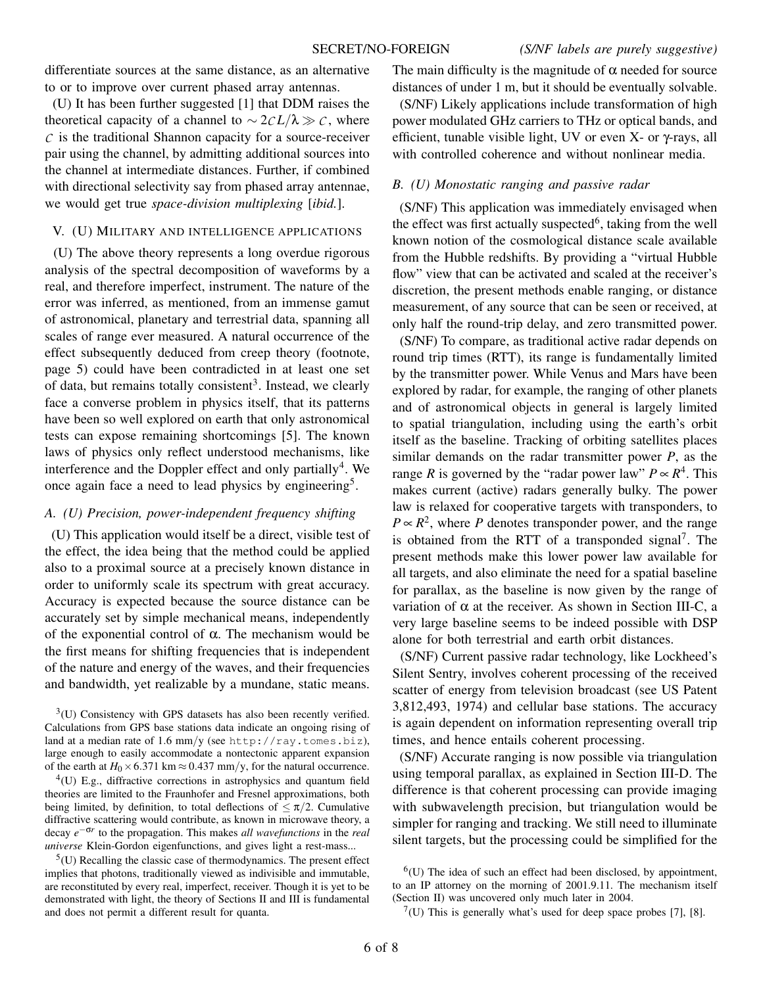differentiate sources at the same distance, as an alternative to or to improve over current phased array antennas.

(U) It has been further suggested [1] that DDM raises the theoretical capacity of a channel to  $\sim$  2*CL*/ $\lambda \gg$ *C*, where  $C$  is the traditional Shannon capacity for a source-receiver pair using the channel, by admitting additional sources into the channel at intermediate distances. Further, if combined with directional selectivity say from phased array antennae, we would get true *space-division multiplexing* [*ibid.*].

### V. (U) MILITARY AND INTELLIGENCE APPLICATIONS

(U) The above theory represents a long overdue rigorous analysis of the spectral decomposition of waveforms by a real, and therefore imperfect, instrument. The nature of the error was inferred, as mentioned, from an immense gamut of astronomical, planetary and terrestrial data, spanning all scales of range ever measured. A natural occurrence of the effect subsequently deduced from creep theory (footnote, page 5) could have been contradicted in at least one set of data, but remains totally consistent<sup>3</sup>. Instead, we clearly face a converse problem in physics itself, that its patterns have been so well explored on earth that only astronomical tests can expose remaining shortcomings [5]. The known laws of physics only reflect understood mechanisms, like interference and the Doppler effect and only partially<sup>4</sup>. We once again face a need to lead physics by engineering<sup>5</sup>.

### *A. (U) Precision, power-independent frequency shifting*

(U) This application would itself be a direct, visible test of the effect, the idea being that the method could be applied also to a proximal source at a precisely known distance in order to uniformly scale its spectrum with great accuracy. Accuracy is expected because the source distance can be accurately set by simple mechanical means, independently of the exponential control of α. The mechanism would be the first means for shifting frequencies that is independent of the nature and energy of the waves, and their frequencies and bandwidth, yet realizable by a mundane, static means.

 $<sup>5</sup>(U)$  Recalling the classic case of thermodynamics. The present effect</sup> implies that photons, traditionally viewed as indivisible and immutable, are reconstituted by every real, imperfect, receiver. Though it is yet to be demonstrated with light, the theory of Sections II and III is fundamental and does not permit a different result for quanta.

The main difficulty is the magnitude of  $\alpha$  needed for source distances of under 1 m, but it should be eventually solvable. (S/NF) Likely applications include transformation of high power modulated GHz carriers to THz or optical bands, and efficient, tunable visible light, UV or even X- or γ-rays, all with controlled coherence and without nonlinear media.

### *B. (U) Monostatic ranging and passive radar*

(S/NF) This application was immediately envisaged when the effect was first actually suspected<sup>6</sup>, taking from the well known notion of the cosmological distance scale available from the Hubble redshifts. By providing a "virtual Hubble flow" view that can be activated and scaled at the receiver's discretion, the present methods enable ranging, or distance measurement, of any source that can be seen or received, at only half the round-trip delay, and zero transmitted power.

(S/NF) To compare, as traditional active radar depends on round trip times (RTT), its range is fundamentally limited by the transmitter power. While Venus and Mars have been explored by radar, for example, the ranging of other planets and of astronomical objects in general is largely limited to spatial triangulation, including using the earth's orbit itself as the baseline. Tracking of orbiting satellites places similar demands on the radar transmitter power *P*, as the range *R* is governed by the "radar power law"  $P \propto R^4$ . This makes current (active) radars generally bulky. The power law is relaxed for cooperative targets with transponders, to  $P \propto R^2$ , where *P* denotes transponder power, and the range is obtained from the RTT of a transponded signal<sup>7</sup>. The present methods make this lower power law available for all targets, and also eliminate the need for a spatial baseline for parallax, as the baseline is now given by the range of variation of  $\alpha$  at the receiver. As shown in Section III-C, a very large baseline seems to be indeed possible with DSP alone for both terrestrial and earth orbit distances.

(S/NF) Current passive radar technology, like Lockheed's Silent Sentry, involves coherent processing of the received scatter of energy from television broadcast (see US Patent 3,812,493, 1974) and cellular base stations. The accuracy is again dependent on information representing overall trip times, and hence entails coherent processing.

(S/NF) Accurate ranging is now possible via triangulation using temporal parallax, as explained in Section III-D. The difference is that coherent processing can provide imaging with subwavelength precision, but triangulation would be simpler for ranging and tracking. We still need to illuminate silent targets, but the processing could be simplified for the

 $7$ (U) This is generally what's used for deep space probes [7], [8].

 $3$ (U) Consistency with GPS datasets has also been recently verified. Calculations from GPS base stations data indicate an ongoing rising of land at a median rate of 1.6 mm/y (see http://ray.tomes.biz), large enough to easily accommodate a nontectonic apparent expansion of the earth at  $H_0 \times 6.371 \text{ km} \approx 0.437 \text{ mm/y}$ , for the natural occurrence.

 $^{4}$ (U) E.g., diffractive corrections in astrophysics and quantum field theories are limited to the Fraunhofer and Fresnel approximations, both being limited, by definition, to total deflections of  $\leq \pi/2$ . Cumulative diffractive scattering would contribute, as known in microwave theory, a decay *e* −σ*r* to the propagation. This makes *all wavefunctions* in the *real universe* Klein-Gordon eigenfunctions, and gives light a rest-mass...

 $<sup>6</sup>(U)$  The idea of such an effect had been disclosed, by appointment,</sup> to an IP attorney on the morning of 2001.9.11. The mechanism itself (Section II) was uncovered only much later in 2004.